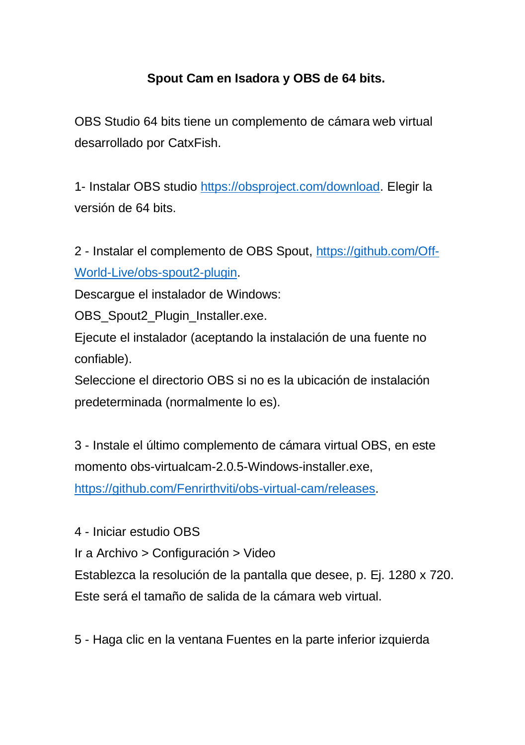## **Spout Cam en Isadora y OBS de 64 bits.**

OBS Studio 64 bits tiene un complemento de cámara web virtual desarrollado por CatxFish.

1- Instalar OBS studio [https://obsproject.com/download.](https://obsproject.com/download) Elegir la versión de 64 bits.

2 - Instalar el complemento de OBS Spout, [https://github.com/Off-](https://github.com/Off-World-Live/obs-spout2-plugin)[World-Live/obs-spout2-plugin.](https://github.com/Off-World-Live/obs-spout2-plugin)

Descargue el instalador de Windows:

OBS\_Spout2\_Plugin\_Installer.exe.

Ejecute el instalador (aceptando la instalación de una fuente no confiable).

Seleccione el directorio OBS si no es la ubicación de instalación predeterminada (normalmente lo es).

3 - Instale el último complemento de cámara virtual OBS, en este momento obs-virtualcam-2.0.5-Windows-installer.exe,

[https://github.com/Fenrirthviti/obs-virtual-cam/releases.](https://github.com/Fenrirthviti/obs-virtual-cam/releases)

4 - Iniciar estudio OBS

Ir a Archivo > Configuración > Video

Establezca la resolución de la pantalla que desee, p. Ej. 1280 x 720. Este será el tamaño de salida de la cámara web virtual.

5 - Haga clic en la ventana Fuentes en la parte inferior izquierda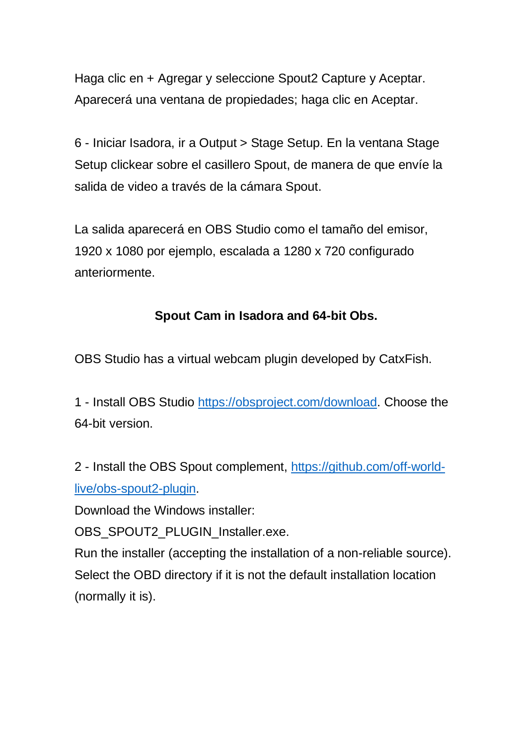Haga clic en + Agregar y seleccione Spout2 Capture y Aceptar. Aparecerá una ventana de propiedades; haga clic en Aceptar.

6 - Iniciar Isadora, ir a Output > Stage Setup. En la ventana Stage Setup clickear sobre el casillero Spout, de manera de que envíe la salida de video a través de la cámara Spout.

La salida aparecerá en OBS Studio como el tamaño del emisor, 1920 x 1080 por ejemplo, escalada a 1280 x 720 configurado anteriormente.

## **Spout Cam in Isadora and 64-bit Obs.**

OBS Studio has a virtual webcam plugin developed by CatxFish.

1 - Install OBS Studio [https://obsproject.com/download.](https://obsproject.com/download) Choose the 64-bit version.

2 - Install the OBS Spout complement, [https://github.com/off-world](https://github.com/off-world-live/obs-spout2-plugin)[live/obs-spout2-plugin.](https://github.com/off-world-live/obs-spout2-plugin)

Download the Windows installer:

OBS\_SPOUT2\_PLUGIN\_Installer.exe.

Run the installer (accepting the installation of a non-reliable source). Select the OBD directory if it is not the default installation location (normally it is).